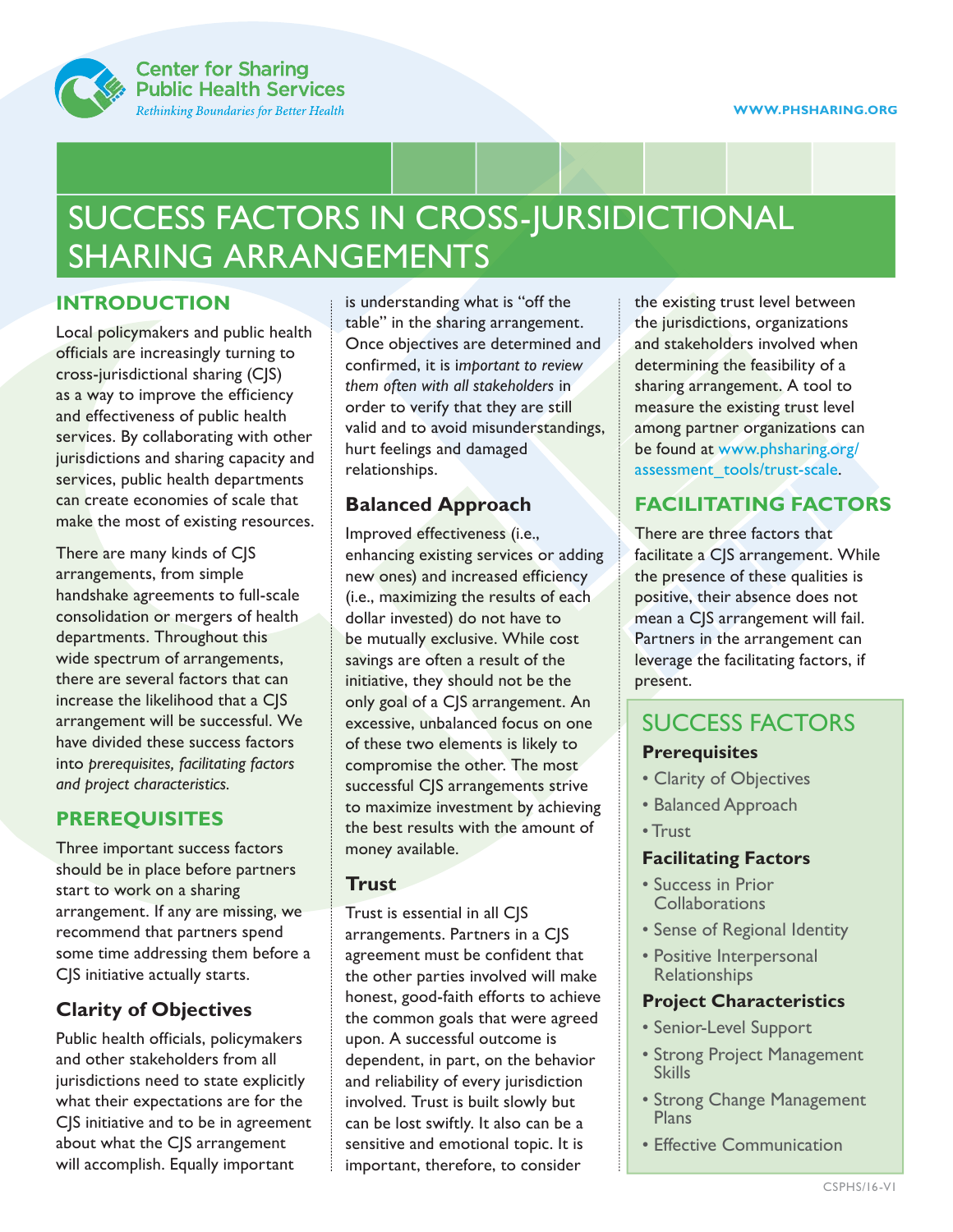

# SUCCESS FACTORS IN CROSS-JURSIDICTIONAL SHARING ARRANGEMENTS

#### **INTRODUCTION**

Local policymakers and public health officials are increasingly turning to cross-jurisdictional sharing (CJS) as a way to improve the efficiency and effectiveness of public health services. By collaborating with other jurisdictions and sharing capacity and services, public health departments can create economies of scale that make the most of existing resources.

There are many kinds of CJS arrangements, from simple handshake agreements to full-scale consolidation or mergers of health departments. Throughout this wide spectrum of arrangements, there are several factors that can increase the likelihood that a CJS arrangement will be successful. We have divided these success factors into *prerequisites, facilitating factors and project characteristics.*

#### **PREREQUISITES**

Three important success factors should be in place before partners start to work on a sharing arrangement. If any are missing, we recommend that partners spend some time addressing them before a CJS initiative actually starts.

### **Clarity of Objectives**

Public health officials, policymakers and other stakeholders from all jurisdictions need to state explicitly what their expectations are for the CJS initiative and to be in agreement about what the CJS arrangement will accomplish. Equally important

is understanding what is "off the table" in the sharing arrangement. Once objectives are determined and confirmed, it is i*mportant to review them often with all stakeholders* in order to verify that they are still valid and to avoid misunderstandings, hurt feelings and damaged relationships.

#### **Balanced Approach**

Improved effectiveness (i.e., enhancing existing services or adding new ones) and increased efficiency (i.e., maximizing the results of each dollar invested) do not have to be mutually exclusive. While cost savings are often a result of the initiative, they should not be the only goal of a CJS arrangement. An excessive, unbalanced focus on one of these two elements is likely to compromise the other. The most successful CJS arrangements strive to maximize investment by achieving the best results with the amount of money available.

#### **Trust**

Trust is essential in all CJS arrangements. Partners in a CJS agreement must be confident that the other parties involved will make honest, good-faith efforts to achieve the common goals that were agreed upon. A successful outcome is dependent, in part, on the behavior and reliability of every jurisdiction involved. Trust is built slowly but can be lost swiftly. It also can be a sensitive and emotional topic. It is important, therefore, to consider

the existing trust level between the jurisdictions, organizations and stakeholders involved when determining the feasibility of a sharing arrangement. A tool to measure the existing trust level among partner organizations can be found at www.phsharing.org/ assessment\_tools/trust-scale.

## **FACILITATING FACTORS**

There are three factors that facilitate a CJS arrangement. While the presence of these qualities is positive, their absence does not mean a CJS arrangement will fail. Partners in the arrangement can leverage the facilitating factors, if present.

## SUCCESS FACTORS

#### **Prerequisites**

- Clarity of Objectives
- Balanced Approach
- Trust

#### **Facilitating Factors**

- Success in Prior **Collaborations**
- Sense of Regional Identity
- Positive Interpersonal Relationships

#### **Project Characteristics**

- Senior-Level Support
- Strong Project Management **Skills**
- Strong Change Management **Plans**
- Effective Communication